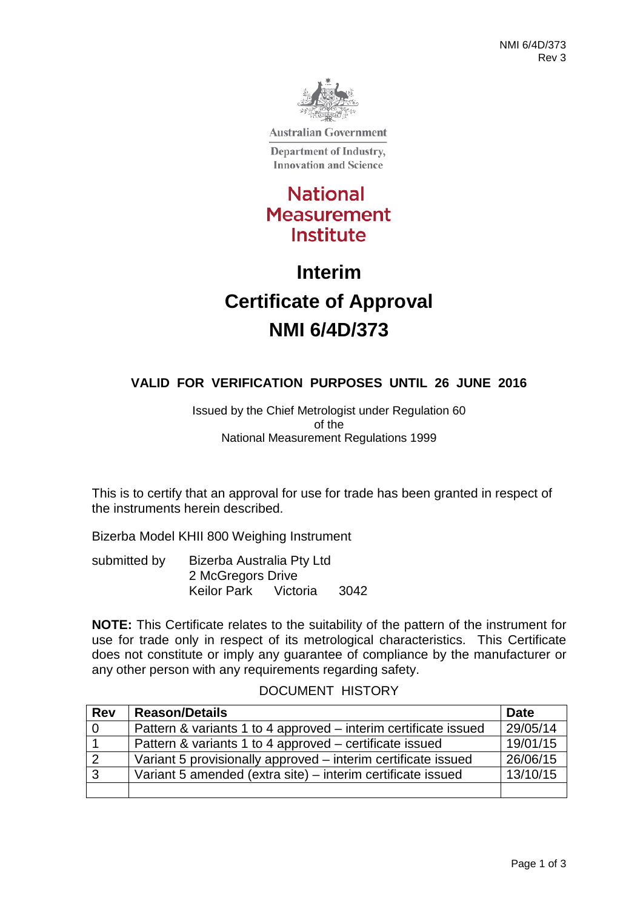

**Australian Government** 

Department of Industry, **Innovation and Science** 

## **National Measurement** Institute

# **Interim Certificate of Approval NMI 6/4D/373**

### **VALID FOR VERIFICATION PURPOSES UNTIL 26 JUNE 2016**

Issued by the Chief Metrologist under Regulation 60 of the National Measurement Regulations 1999

This is to certify that an approval for use for trade has been granted in respect of the instruments herein described.

Bizerba Model KHII 800 Weighing Instrument

submitted by Bizerba Australia Pty Ltd 2 McGregors Drive Keilor Park Victoria 3042

**NOTE:** This Certificate relates to the suitability of the pattern of the instrument for use for trade only in respect of its metrological characteristics. This Certificate does not constitute or imply any guarantee of compliance by the manufacturer or any other person with any requirements regarding safety.

#### DOCUMENT HISTORY

| <b>Rev</b>     | <b>Reason/Details</b>                                           | Date     |
|----------------|-----------------------------------------------------------------|----------|
| $\overline{0}$ | Pattern & variants 1 to 4 approved – interim certificate issued | 29/05/14 |
| $\overline{1}$ | Pattern & variants 1 to 4 approved – certificate issued         | 19/01/15 |
| $\overline{2}$ | Variant 5 provisionally approved – interim certificate issued   | 26/06/15 |
| $\overline{3}$ | Variant 5 amended (extra site) – interim certificate issued     | 13/10/15 |
|                |                                                                 |          |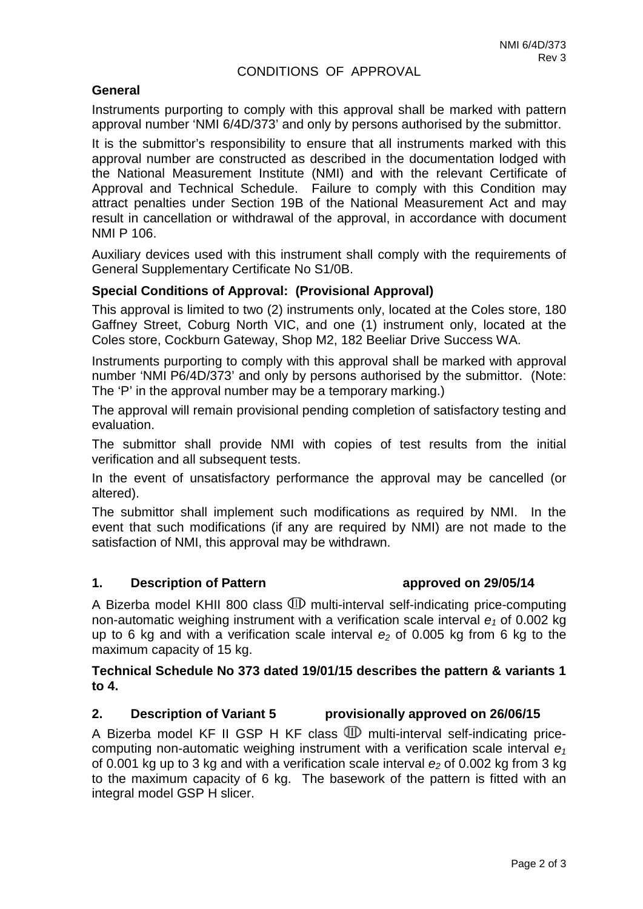#### CONDITIONS OF APPROVAL

#### **General**

Instruments purporting to comply with this approval shall be marked with pattern approval number 'NMI 6/4D/373' and only by persons authorised by the submittor.

It is the submittor's responsibility to ensure that all instruments marked with this approval number are constructed as described in the documentation lodged with the National Measurement Institute (NMI) and with the relevant Certificate of Approval and Technical Schedule. Failure to comply with this Condition may attract penalties under Section 19B of the National Measurement Act and may result in cancellation or withdrawal of the approval, in accordance with document NMI P 106.

Auxiliary devices used with this instrument shall comply with the requirements of General Supplementary Certificate No S1/0B.

#### **Special Conditions of Approval: (Provisional Approval)**

This approval is limited to two (2) instruments only, located at the Coles store, 180 Gaffney Street, Coburg North VIC, and one (1) instrument only, located at the Coles store, Cockburn Gateway, Shop M2, 182 Beeliar Drive Success WA.

Instruments purporting to comply with this approval shall be marked with approval number 'NMI P6/4D/373' and only by persons authorised by the submittor. (Note: The 'P' in the approval number may be a temporary marking.)

The approval will remain provisional pending completion of satisfactory testing and evaluation.

The submittor shall provide NMI with copies of test results from the initial verification and all subsequent tests.

In the event of unsatisfactory performance the approval may be cancelled (or altered).

The submittor shall implement such modifications as required by NMI. In the event that such modifications (if any are required by NMI) are not made to the satisfaction of NMI, this approval may be withdrawn.

#### **1. Description of Pattern approved on 29/05/14**

A Bizerba model KHII 800 class  $\mathbb D$  multi-interval self-indicating price-computing non-automatic weighing instrument with a verification scale interval  $e_1$  of 0.002 kg up to 6 kg and with a verification scale interval  $e_2$  of 0.005 kg from 6 kg to the maximum capacity of 15 kg.

#### **Technical Schedule No 373 dated 19/01/15 describes the pattern & variants 1 to 4.**

#### **2. Description of Variant 5 provisionally approved on 26/06/15**

A Bizerba model KF II GSP H KF class  $\mathbb D$  multi-interval self-indicating pricecomputing non-automatic weighing instrument with a verification scale interval  $e_1$ of 0.001 kg up to 3 kg and with a verification scale interval  $e<sub>2</sub>$  of 0.002 kg from 3 kg to the maximum capacity of 6 kg. The basework of the pattern is fitted with an integral model GSP H slicer.